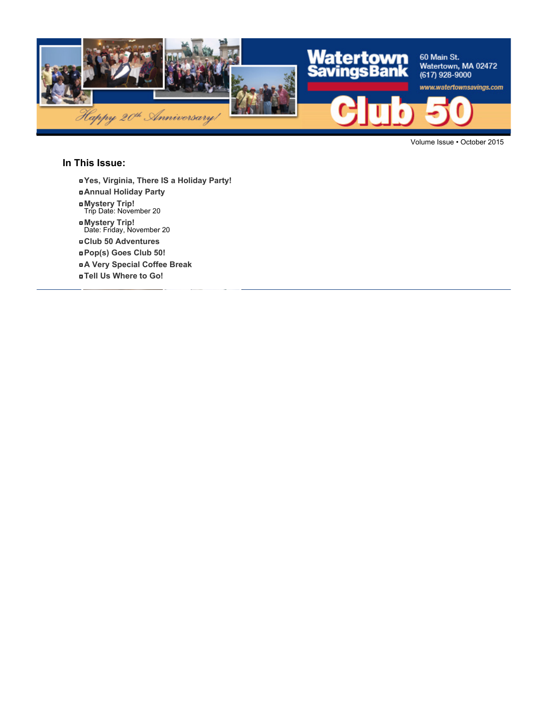

Volume Issue • October 2015

#### **In This Issue:**

- **Yes, Virginia, There IS a Holiday Party!**
- **Annual Holiday Party**
- **Mystery Trip!** Trip Date: November 20
- 
- **Mystery Trip!** Date: Friday, November 20
- **Club 50 Adventures**
- **Pop(s) Goes Club 50!**
- **A Very Special Coffee Break**
- **Tell Us Where to Go!**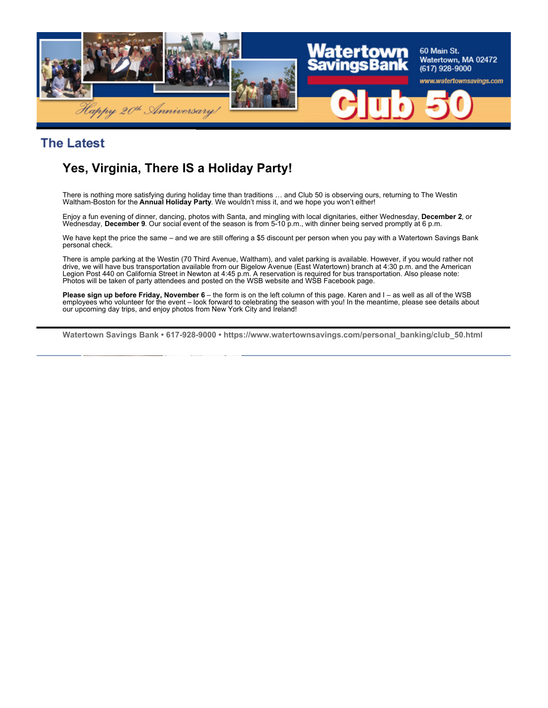

#### **The Latest**

# **Yes, Virginia, There IS a Holiday Party!**

There is nothing more satisfying during holiday time than traditions … and Club 50 is observing ours, returning to The Westin Waltham-Boston for the **Annual Holiday Party**. We wouldn't miss it, and we hope you won't either!

Enjoy a fun evening of dinner, dancing, photos with Santa, and mingling with local dignitaries, either Wednesday, **December 2**, or Wednesday, **December 9**. Our social event of the season is from 5-10 p.m., with dinner being served promptly at 6 p.m.

We have kept the price the same – and we are still offering a \$5 discount per person when you pay with a Watertown Savings Bank personal check.

There is ample parking at the Westin (70 Third Avenue, Waltham), and valet parking is available. However, if you would rather not drive, we will have bus transportation available from our Bigelow Avenue (East Watertown) branch at 4:30 p.m. and the American Legion Post 440 on California Street in Newton at 4:45 p.m. A reservation is required for bus transportation. Also please note: Photos will be taken of party attendees and posted on the WSB website and WSB Facebook page.

**Please sign up before Friday, November 6** – the form is on the left column of this page. Karen and I – as well as all of the WSB employees who volunteer for the event – look forward to celebrating the season with you! In the meantime, please see details about our upcoming day trips, and enjoy photos from New York City and Ireland!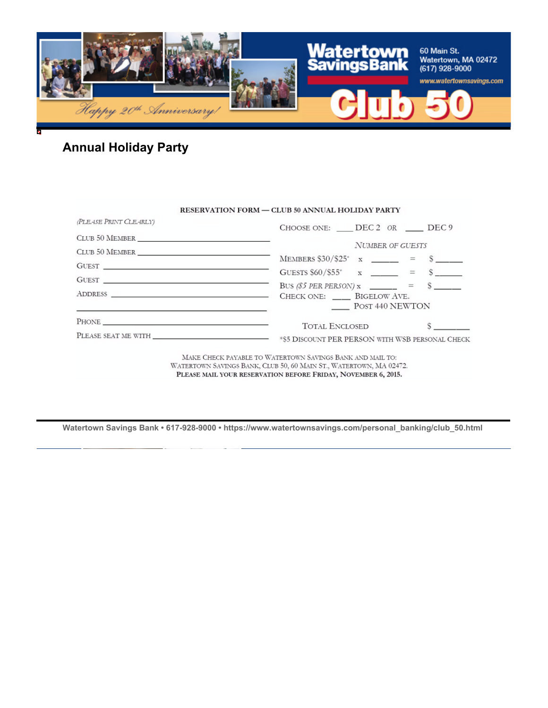

# **Annual Holiday Party**

|                                                                                                                                                                                                                                                                                                                                                                                                                                                                                                                                                                                      | <b>RESERVATION FORM - CLUB 50 ANNUAL HOLIDAY PARTY</b>                                                                                                                                           |
|--------------------------------------------------------------------------------------------------------------------------------------------------------------------------------------------------------------------------------------------------------------------------------------------------------------------------------------------------------------------------------------------------------------------------------------------------------------------------------------------------------------------------------------------------------------------------------------|--------------------------------------------------------------------------------------------------------------------------------------------------------------------------------------------------|
| (PLEASE PRINT CLEARLY)                                                                                                                                                                                                                                                                                                                                                                                                                                                                                                                                                               | CHOOSE ONE: DEC 2 OR DEC 9                                                                                                                                                                       |
|                                                                                                                                                                                                                                                                                                                                                                                                                                                                                                                                                                                      |                                                                                                                                                                                                  |
| $\begin{tabular}{c} {\bf \color{red}{\bf CLUB\ 50\ MEMBER \ \underline{\color{green}{\bf \color{green}{\bf \color{green}{\bf \color{green}{\bf \color{green}{\bf \color{green}{\bf \color{green}{\bf \color{green}{\bf \color{green}{\bf \color{green}{\bf \color{green}{\bf \color{green}{\bf \color{green}{\bf \color{green}{\bf \color{green}{\bf \color{green}{\bf \color{green}{\bf \color{green}{\bf \color{green}{\bf \color{green}{\bf \color{green}{\bf \color{green}{\bf \color{green}{\bf \color{green}{\bf \color{green}{\bf \color{green}{\bf \color{green}{\bf \color$ | <b>NUMBER OF GUESTS</b>                                                                                                                                                                          |
|                                                                                                                                                                                                                                                                                                                                                                                                                                                                                                                                                                                      | MEMBERS $$30/\$25^* \ x \ \_\_\_\_\_\_\$ = $$ \_\_\_\_\_\$                                                                                                                                       |
| $G \texttt{UEST} \begin{tabular}{l} \texttt{\textcolor{red}{\textbf{G}}} \\ \texttt{\textcolor{red}{\textbf{G}}} \\ \texttt{\textcolor{red}{\textbf{G}}} \end{tabular}$                                                                                                                                                                                                                                                                                                                                                                                                              | GUESTS $$60/\$55^*$ x _____ = \$ ____                                                                                                                                                            |
| $G \text{UEST} \begin{tabular}{ c c c c } \hline \rule{0.3cm}{.2cm} & \rule{0.3cm}{.2cm} \rule{0.3cm}{.2cm} \rule{0.3cm}{.2cm} \rule{0.3cm}{.2cm} \rule{0.3cm}{.2cm} \rule{0.3cm}{.2cm} \rule{0.3cm}{.2cm} \rule{0.3cm}{.2cm} \rule{0.3cm}{.2cm} \rule{0.3cm}{.2cm} \rule{0.3cm}{.2cm} \rule{0.3cm}{.2cm} \rule{0.3cm}{.2cm} \rule{0.3cm}{.2cm} \rule{0.3cm}{.2cm} \$                                                                                                                                                                                                                |                                                                                                                                                                                                  |
|                                                                                                                                                                                                                                                                                                                                                                                                                                                                                                                                                                                      | BUS (\$5 PER PERSON) $x$ = \$ ____<br>POST 440 NEWTON                                                                                                                                            |
| the contract of the contract of the contract of the contract of the contract of the contract of                                                                                                                                                                                                                                                                                                                                                                                                                                                                                      |                                                                                                                                                                                                  |
|                                                                                                                                                                                                                                                                                                                                                                                                                                                                                                                                                                                      | <b>TOTAL ENCLOSED</b>                                                                                                                                                                            |
|                                                                                                                                                                                                                                                                                                                                                                                                                                                                                                                                                                                      |                                                                                                                                                                                                  |
|                                                                                                                                                                                                                                                                                                                                                                                                                                                                                                                                                                                      | MAKE CHECK PAYABLE TO WATERTOWN SAVINGS BANK AND MAIL TO:<br>WATERTOWN SAVINGS BANK, CLUB 50, 60 MAIN ST., WATERTOWN, MA 02472.<br>PLEASE MAIL YOUR RESERVATION BEFORE FRIDAY, NOVEMBER 6, 2015. |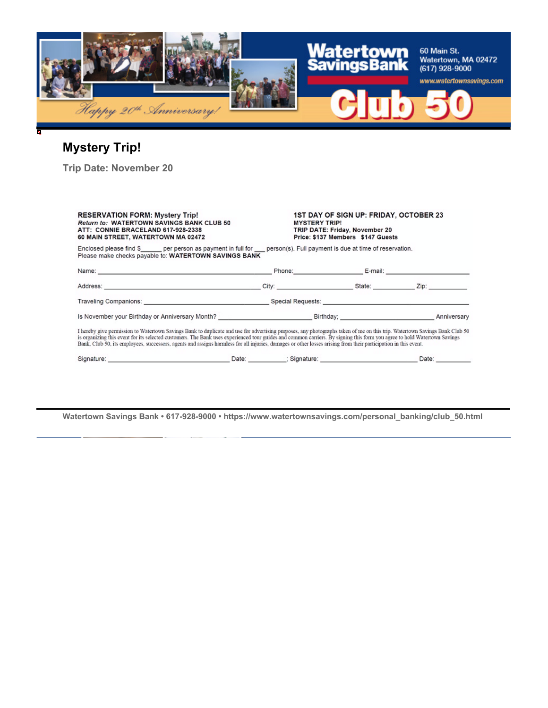

# **Mystery Trip!**

**Trip Date: November 20**

| <b>RESERVATION FORM: Mystery Trip!</b><br><b>Return to: WATERTOWN SAVINGS BANK CLUB 50</b><br>ATT: CONNIE BRACELAND 617-928-2338<br>60 MAIN STREET, WATERTOWN MA 02472                                                                                                                                                                                                                                                                                                                                                    |  | <b>1ST DAY OF SIGN UP: FRIDAY, OCTOBER 23</b><br><b>MYSTERY TRIP!</b><br>TRIP DATE: Friday, November 20<br>Price: \$137 Members \$147 Guests |                                                                                                                                                                                                                                |  |
|---------------------------------------------------------------------------------------------------------------------------------------------------------------------------------------------------------------------------------------------------------------------------------------------------------------------------------------------------------------------------------------------------------------------------------------------------------------------------------------------------------------------------|--|----------------------------------------------------------------------------------------------------------------------------------------------|--------------------------------------------------------------------------------------------------------------------------------------------------------------------------------------------------------------------------------|--|
| Enclosed please find \$ per person as payment in full for person(s). Full payment is due at time of reservation.<br>Please make checks payable to: WATERTOWN SAVINGS BANK                                                                                                                                                                                                                                                                                                                                                 |  |                                                                                                                                              |                                                                                                                                                                                                                                |  |
|                                                                                                                                                                                                                                                                                                                                                                                                                                                                                                                           |  |                                                                                                                                              |                                                                                                                                                                                                                                |  |
|                                                                                                                                                                                                                                                                                                                                                                                                                                                                                                                           |  |                                                                                                                                              |                                                                                                                                                                                                                                |  |
|                                                                                                                                                                                                                                                                                                                                                                                                                                                                                                                           |  |                                                                                                                                              |                                                                                                                                                                                                                                |  |
|                                                                                                                                                                                                                                                                                                                                                                                                                                                                                                                           |  | Is November your Birthday or Anniversary Month? November 2012 19:00 Birthday; November 2013 20:00 Anniversary                                |                                                                                                                                                                                                                                |  |
| I hereby give permission to Watertown Savings Bank to duplicate and use for advertising purposes, any photographs taken of me on this trip. Watertown Savings Bank Club 50<br>is organizing this event for its selected customers. The Bank uses experienced tour guides and common carriers. By signing this form you agree to hold Watertown Savings<br>Bank, Club 50, its employees, successors, agents and assigns harmless for all injuries, damages or other losses arising from their participation in this event. |  |                                                                                                                                              |                                                                                                                                                                                                                                |  |
| Signature: Capital Contract Contract Date: Signature: Signature: Signature: Signature: Signature: Signature: Signature: Signature: Signature: Signature: Signature: Signature: Signature: Signature: Signature: Signature: Sig                                                                                                                                                                                                                                                                                            |  |                                                                                                                                              | Date: the contract of the contract of the contract of the contract of the contract of the contract of the contract of the contract of the contract of the contract of the contract of the contract of the contract of the cont |  |
|                                                                                                                                                                                                                                                                                                                                                                                                                                                                                                                           |  |                                                                                                                                              |                                                                                                                                                                                                                                |  |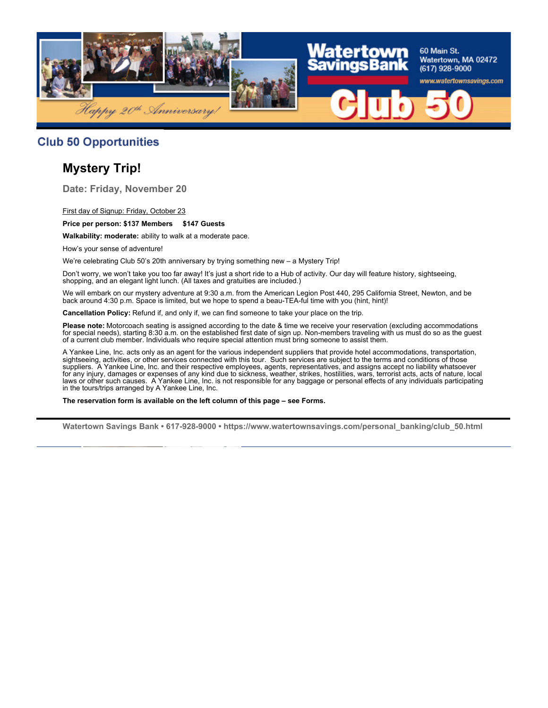

#### **Club 50 Opportunities**

# **Mystery Trip!**

**Date: Friday, November 20**

First day of Signup: Friday, October 23

#### **Price per person: \$137 Members \$147 Guests**

**Walkability: moderate:** ability to walk at a moderate pace.

How's your sense of adventure!

We're celebrating Club 50's 20th anniversary by trying something new – a Mystery Trip!

Don't worry, we won't take you too far away! It's just a short ride to a Hub of activity. Our day will feature history, sightseeing, shopping, and an elegant light lunch. (All taxes and gratuities are included.)

We will embark on our mystery adventure at 9:30 a.m. from the American Legion Post 440, 295 California Street, Newton, and be back around 4:30 p.m. Space is limited, but we hope to spend a beau-TEA-ful time with you (hint, hint)!

**Cancellation Policy:** Refund if, and only if, we can find someone to take your place on the trip.

**Please note:** Motorcoach seating is assigned according to the date & time we receive your reservation (excluding accommodations for special needs), starting 8:30 a.m. on the established first date of sign up. Non-members traveling with us must do so as the guest of a current club member. Individuals who require special attention must bring someone to assist them.

A Yankee Line, Inc. acts only as an agent for the various independent suppliers that provide hotel accommodations, transportation, sightseeing, activities, or other services connected with this tour. Such services are subject to the terms and conditions of those suppliers. A Yankee Line, Inc. and their respective employees, agents, representatives, and assigns accept no liability whatsoever for any injury, damages or expenses of any kind due to sickness, weather, strikes, hostilities, wars, terrorist acts, acts of nature, local laws or other such causes. A Yankee Line, Inc. is not responsible for any baggage or personal effects of any individuals participating in the tours/trips arranged by A Yankee Line, Inc.

**The reservation form is available on the left column of this page – see Forms.**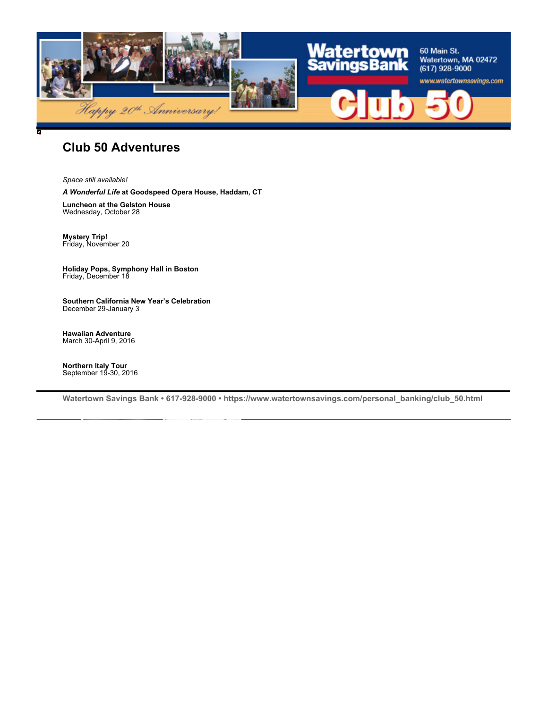

#### **Club 50 Adventures**

*Space still available!*

*A Wonderful Life* **at Goodspeed Opera House, Haddam, CT**

**Luncheon at the Gelston House** Wednesday, October 28

**Mystery Trip!** Friday, November 20

**Holiday Pops, Symphony Hall in Boston** Friday, December 18

**Southern California New Year's Celebration** December 29-January 3

**Hawaiian Adventure** March 30-April 9, 2016

**Northern Italy Tour** September 19-30, 2016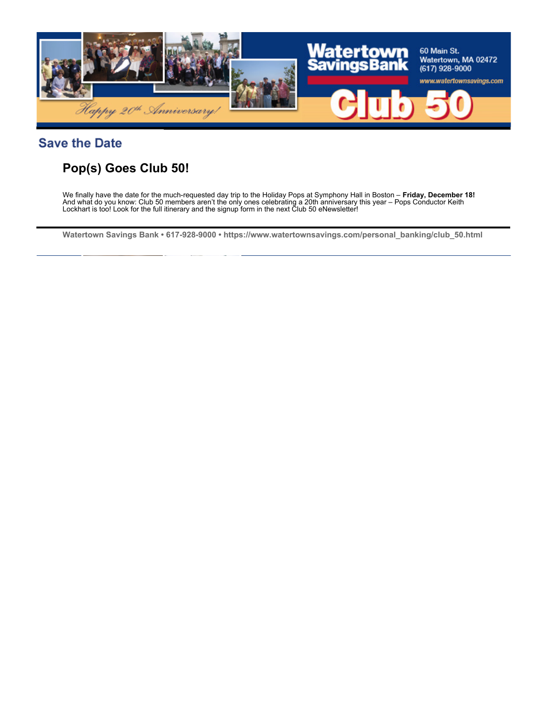

### **Save the Date**

# **Pop(s) Goes Club 50!**

We finally have the date for the much-requested day trip to the Holiday Pops at Symphony Hall in Boston – **Friday, December 18!**  And what do you know: Club 50 members aren't the only ones celebrating a 20th anniversary this year – Pops Conductor Keith Lockhart is too! Look for the full itinerary and the signup form in the next Club 50 eNewsletter!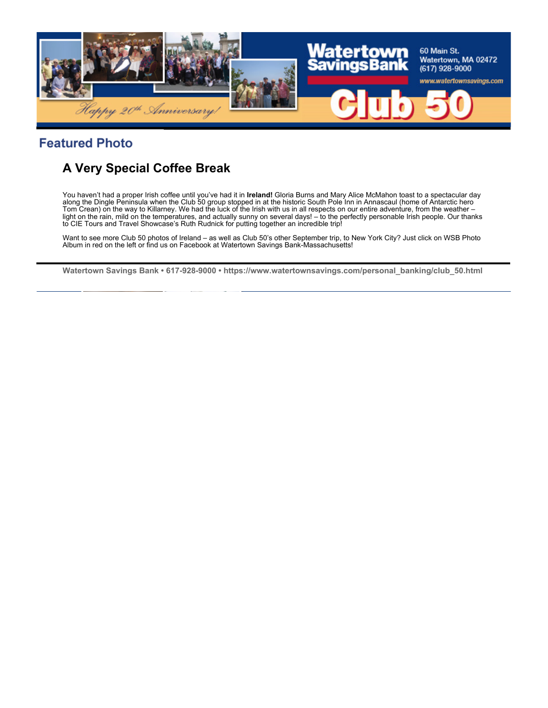

## **Featured Photo**

# **A Very Special Coffee Break**

You haven't had a proper Irish coffee until you've had it in **Ireland!** Gloria Burns and Mary Alice McMahon toast to a spectacular day along the Dingle Peninsula when the Club 50 group stopped in at the historic South Pole Inn in Annascaul (home of Antarctic hero Tom Crean) on the way to Killarney. We had the luck of the Irish with us in all respects on our entire adventure, from the weather – light on the rain, mild on the temperatures, and actually sunny on several days! – to the perfectly personable Irish people. Our thanks to CIE Tours and Travel Showcase's Ruth Rudnick for putting together an incredible trip!

Want to see more Club 50 photos of Ireland – as well as Club 50's other September trip, to New York City? Just click on WSB Photo Album in red on the left or find us on Facebook at Watertown Savings Bank-Massachusetts!